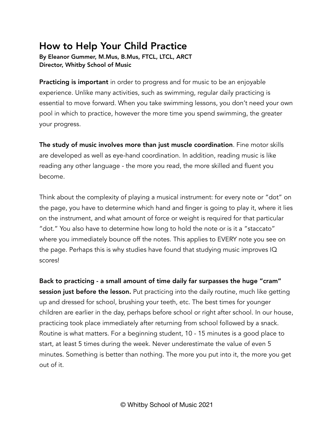## How to Help Your Child Practice

By Eleanor Gummer, M.Mus, B.Mus, FTCL, LTCL, ARCT Director, Whitby School of Music

**Practicing is important** in order to progress and for music to be an enjoyable experience. Unlike many activities, such as swimming, regular daily practicing is essential to move forward. When you take swimming lessons, you don't need your own pool in which to practice, however the more time you spend swimming, the greater your progress.

The study of music involves more than just muscle coordination. Fine motor skills are developed as well as eye-hand coordination. In addition, reading music is like reading any other language - the more you read, the more skilled and fluent you become.

Think about the complexity of playing a musical instrument: for every note or "dot" on the page, you have to determine which hand and finger is going to play it, where it lies on the instrument, and what amount of force or weight is required for that particular "dot." You also have to determine how long to hold the note or is it a "staccato" where you immediately bounce off the notes. This applies to EVERY note you see on the page. Perhaps this is why studies have found that studying music improves IQ scores!

Back to practicing - a small amount of time daily far surpasses the huge "cram" session just before the lesson. Put practicing into the daily routine, much like getting up and dressed for school, brushing your teeth, etc. The best times for younger children are earlier in the day, perhaps before school or right after school. In our house, practicing took place immediately after returning from school followed by a snack. Routine is what matters. For a beginning student, 10 - 15 minutes is a good place to start, at least 5 times during the week. Never underestimate the value of even 5 minutes. Something is better than nothing. The more you put into it, the more you get out of it.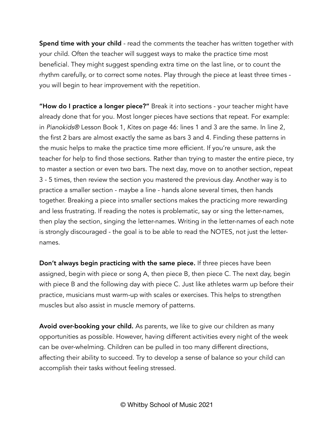Spend time with your child - read the comments the teacher has written together with your child. Often the teacher will suggest ways to make the practice time most beneficial. They might suggest spending extra time on the last line, or to count the rhythm carefully, or to correct some notes. Play through the piece at least three times you will begin to hear improvement with the repetition.

"How do I practice a longer piece?" Break it into sections - your teacher might have already done that for you. Most longer pieces have sections that repeat. For example: in *Pianokids®* Lesson Book 1, *Kites* on page 46: lines 1 and 3 are the same. In line 2, the first 2 bars are almost exactly the same as bars 3 and 4. Finding these patterns in the music helps to make the practice time more efficient. If you're unsure, ask the teacher for help to find those sections. Rather than trying to master the entire piece, try to master a section or even two bars. The next day, move on to another section, repeat 3 - 5 times, then review the section you mastered the previous day. Another way is to practice a smaller section - maybe a line - hands alone several times, then hands together. Breaking a piece into smaller sections makes the practicing more rewarding and less frustrating. If reading the notes is problematic, say or sing the letter-names, then play the section, singing the letter-names. Writing in the letter-names of each note is strongly discouraged - the goal is to be able to read the NOTES, not just the letternames.

Don't always begin practicing with the same piece. If three pieces have been assigned, begin with piece or song A, then piece B, then piece C. The next day, begin with piece B and the following day with piece C. Just like athletes warm up before their practice, musicians must warm-up with scales or exercises. This helps to strengthen muscles but also assist in muscle memory of patterns.

Avoid over-booking your child. As parents, we like to give our children as many opportunities as possible. However, having different activities every night of the week can be over-whelming. Children can be pulled in too many different directions, affecting their ability to succeed. Try to develop a sense of balance so your child can accomplish their tasks without feeling stressed.